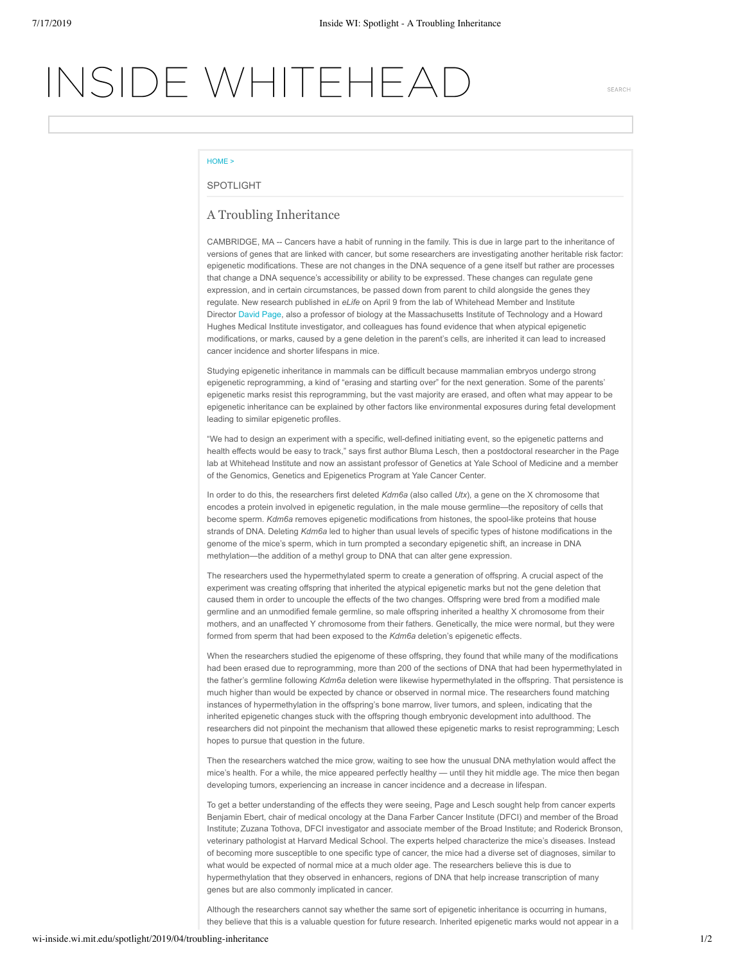# INSIDE WHITEHEA

SEARCH

#### HOME >

#### SPOTLIGHT

## A Troubling Inheritance

CAMBRIDGE, MA -- Cancers have a habit of running in the family. This is due in large part to the inheritance of versions of genes that are linked with cancer, but some researchers are investigating another heritable risk factor: epigenetic modifications. These are not changes in the DNA sequence of a gene itself but rather are processes that change a DNA sequence's accessibility or ability to be expressed. These changes can regulate gene expression, and in certain circumstances, be passed down from parent to child alongside the genes they regulate. New research published in *eLife* on April 9 from the lab of Whitehead Member and Institute Director David Page, also a professor of biology at the Massachusetts Institute of Technology and a Howard Hughes Medical Institute investigator, and colleagues has found evidence that when atypical epigenetic modifications, or marks, caused by a gene deletion in the parent's cells, are inherited it can lead to increased cancer incidence and shorter lifespans in mice.

Studying epigenetic inheritance in mammals can be difficult because mammalian embryos undergo strong epigenetic reprogramming, a kind of "erasing and starting over" for the next generation. Some of the parents' epigenetic marks resist this reprogramming, but the vast majority are erased, and often what may appear to be epigenetic inheritance can be explained by other factors like environmental exposures during fetal development leading to similar epigenetic profiles.

"We had to design an experiment with a specific, well-defined initiating event, so the epigenetic patterns and health effects would be easy to track," says first author Bluma Lesch, then a postdoctoral researcher in the Page lab at Whitehead Institute and now an assistant professor of Genetics at Yale School of Medicine and a member of the Genomics, Genetics and Epigenetics Program at Yale Cancer Center.

In order to do this, the researchers first deleted *Kdm6a* (also called *Utx*), a gene on the X chromosome that encodes a protein involved in epigenetic regulation, in the male mouse germline—the repository of cells that become sperm. *Kdm6a* removes epigenetic modifications from histones, the spool-like proteins that house strands of DNA. Deleting *Kdm6a* led to higher than usual levels of specific types of histone modifications in the genome of the mice's sperm, which in turn prompted a secondary epigenetic shift, an increase in DNA methylation—the addition of a methyl group to DNA that can alter gene expression.

The researchers used the hypermethylated sperm to create a generation of offspring. A crucial aspect of the experiment was creating offspring that inherited the atypical epigenetic marks but not the gene deletion that caused them in order to uncouple the effects of the two changes. Offspring were bred from a modified male germline and an unmodified female germline, so male offspring inherited a healthy X chromosome from their mothers, and an unaffected Y chromosome from their fathers. Genetically, the mice were normal, but they were formed from sperm that had been exposed to the *Kdm6a* deletion's epigenetic effects.

When the researchers studied the epigenome of these offspring, they found that while many of the modifications had been erased due to reprogramming, more than 200 of the sections of DNA that had been hypermethylated in the father's germline following Kdm6a deletion were likewise hypermethylated in the offspring. That persistence is much higher than would be expected by chance or observed in normal mice. The researchers found matching instances of hypermethylation in the offspring's bone marrow, liver tumors, and spleen, indicating that the inherited epigenetic changes stuck with the offspring though embryonic development into adulthood. The researchers did not pinpoint the mechanism that allowed these epigenetic marks to resist reprogramming; Lesch hopes to pursue that question in the future.

Then the researchers watched the mice grow, waiting to see how the unusual DNA methylation would affect the mice's health. For a while, the mice appeared perfectly healthy — until they hit middle age. The mice then began developing tumors, experiencing an increase in cancer incidence and a decrease in lifespan.

To get a better understanding of the effects they were seeing, Page and Lesch sought help from cancer experts Benjamin Ebert, chair of medical oncology at the Dana Farber Cancer Institute (DFCI) and member of the Broad Institute; Zuzana Tothova, DFCI investigator and associate member of the Broad Institute; and Roderick Bronson, veterinary pathologist at Harvard Medical School. The experts helped characterize the mice's diseases. Instead of becoming more susceptible to one specific type of cancer, the mice had a diverse set of diagnoses, similar to what would be expected of normal mice at a much older age. The researchers believe this is due to hypermethylation that they observed in enhancers, regions of DNA that help increase transcription of many genes but are also commonly implicated in cancer.

Although the researchers cannot say whether the same sort of epigenetic inheritance is occurring in humans, they believe that this is a valuable question for future research. Inherited epigenetic marks would not appear in a